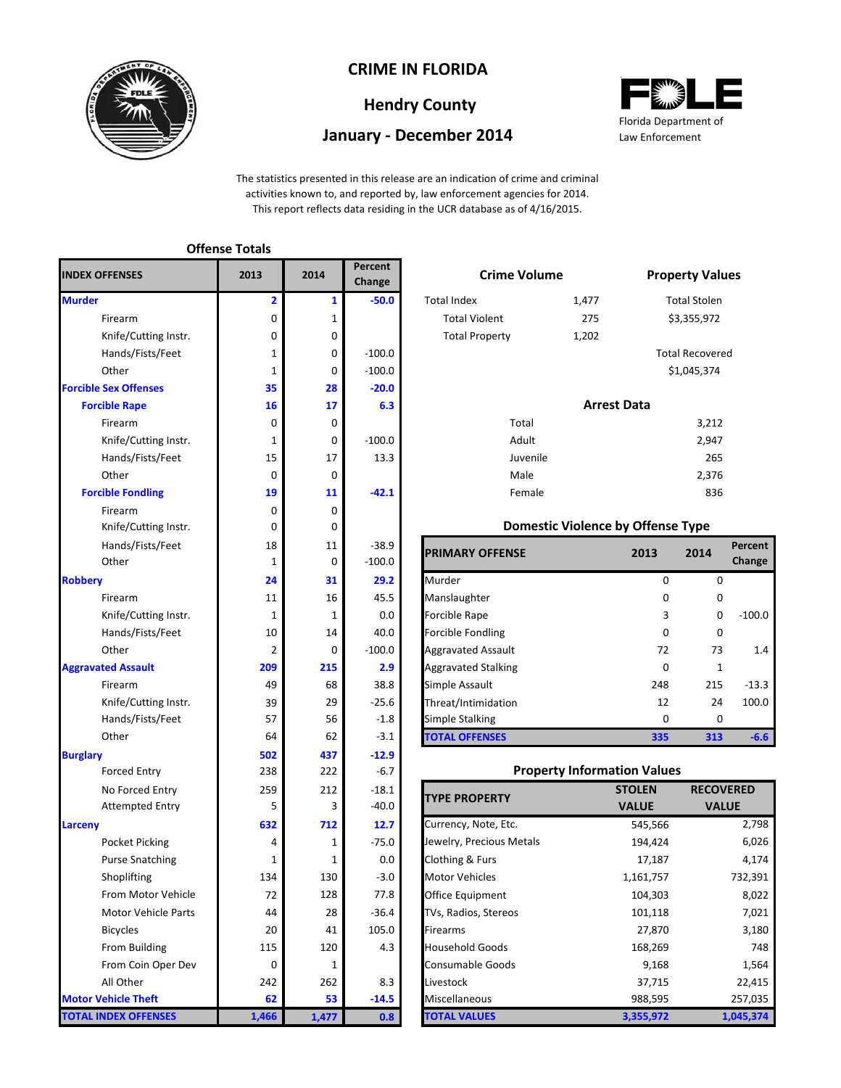

### **CRIME IN FLORIDA**

# **Hendry County**

#### **January - December 2014**



The statistics presented in this release are an indication of crime and criminal activities known to, and reported by, law enforcement agencies for 2014. This report reflects data residing in the UCR database as of 4/16/2015.

#### **Offense Totals**

| <b>INDEX OFFENSES</b>        | 2013        | 2014        | Percent<br>Change | <b>Crime Volume</b>                |                                          | <b>Property Val</b>  |
|------------------------------|-------------|-------------|-------------------|------------------------------------|------------------------------------------|----------------------|
| <b>Murder</b>                | 2           | 1           | $-50.0$           | <b>Total Index</b>                 | 1,477                                    | <b>Total Stolen</b>  |
| Firearm                      | 0           | 1           |                   | <b>Total Violent</b>               | 275                                      | \$3,355,972          |
| Knife/Cutting Instr.         | 0           | 0           |                   | <b>Total Property</b>              | 1,202                                    |                      |
| Hands/Fists/Feet             | 1           | 0           | $-100.0$          |                                    |                                          | <b>Total Recover</b> |
| Other                        | 1           | 0           | $-100.0$          |                                    |                                          | \$1,045,374          |
| <b>Forcible Sex Offenses</b> | 35          | 28          | $-20.0$           |                                    |                                          |                      |
| <b>Forcible Rape</b>         | 16          | 17          | 6.3               |                                    | <b>Arrest Data</b>                       |                      |
| Firearm                      | 0           | 0           |                   | Total                              |                                          | 3,212                |
| Knife/Cutting Instr.         | 1           | 0           | $-100.0$          | Adult                              |                                          | 2,947                |
| Hands/Fists/Feet             | 15          | 17          | 13.3              | Juvenile                           |                                          | 265                  |
| Other                        | $\mathbf 0$ | 0           |                   | Male                               |                                          | 2,376                |
| <b>Forcible Fondling</b>     | 19          | 11          | $-42.1$           | Female                             |                                          | 836                  |
| Firearm                      | $\mathbf 0$ | $\mathbf 0$ |                   |                                    |                                          |                      |
| Knife/Cutting Instr.         | 0           | 0           |                   |                                    | <b>Domestic Violence by Offense Type</b> |                      |
| Hands/Fists/Feet             | 18          | 11          | $-38.9$           |                                    |                                          |                      |
| Other                        | 1           | 0           | $-100.0$          | <b>PRIMARY OFFENSE</b>             | 2013                                     | 2014                 |
| <b>Robbery</b>               | 24          | 31          | 29.2              | Murder                             | $\mathbf{0}$                             | C                    |
| Firearm                      | 11          | 16          | 45.5              | Manslaughter                       | 0                                        |                      |
| Knife/Cutting Instr.         | 1           | 1           | 0.0               | <b>Forcible Rape</b>               | 3                                        |                      |
| Hands/Fists/Feet             | 10          | 14          | 40.0              | Forcible Fondling                  | $\mathbf 0$                              |                      |
| Other                        | 2           | 0           | $-100.0$          | <b>Aggravated Assault</b>          | 72                                       | 73                   |
| <b>Aggravated Assault</b>    | 209         | 215         | 2.9               | <b>Aggravated Stalking</b>         | 0                                        |                      |
| Firearm                      | 49          | 68          | 38.8              | Simple Assault                     | 248                                      | 215                  |
| Knife/Cutting Instr.         | 39          | 29          | $-25.6$           | Threat/Intimidation                | 12                                       | 24                   |
| Hands/Fists/Feet             | 57          | 56          | $-1.8$            | <b>Simple Stalking</b>             | $\mathbf 0$                              | C                    |
| Other                        | 64          | 62          | $-3.1$            | <b>TOTAL OFFENSES</b>              | 335                                      | 313                  |
| <b>Burglary</b>              | 502         | 437         | $-12.9$           |                                    |                                          |                      |
| <b>Forced Entry</b>          | 238         | 222         | $-6.7$            |                                    | <b>Property Information Values</b>       |                      |
| No Forced Entry              | 259         | 212         | $-18.1$           |                                    | <b>STOLEN</b>                            | <b>RECO</b>          |
| <b>Attempted Entry</b>       | 5           | 3           | $-40.0$           | <b>TYPE PROPERTY</b>               | <b>VALUE</b>                             | <b>VA</b>            |
| Larceny                      | 632         | 712         | 12.7              | Currency, Note, Etc.               | 545,566                                  |                      |
| Pocket Picking               | 4           | 1           | $-75.0$           | Jewelry, Precious Metals           | 194,424                                  |                      |
| <b>Purse Snatching</b>       | 1           | 1           | 0.0               | Clothing & Furs                    | 17,187                                   |                      |
| Shoplifting                  | 134         | 130         | $-3.0$            | <b>Motor Vehicles</b><br>1,161,757 |                                          |                      |
| From Motor Vehicle           | 72          | 128         | 77.8              | Office Equipment<br>104,303        |                                          |                      |
| <b>Motor Vehicle Parts</b>   | 44          | 28          | $-36.4$           | TVs, Radios, Stereos<br>101,118    |                                          |                      |
| <b>Bicycles</b>              | 20          | 41          | 105.0             | 27,870<br>Firearms                 |                                          |                      |
| From Building                | 115         | 120         | 4.3               | <b>Household Goods</b><br>168,269  |                                          |                      |
| From Coin Oper Dev           | 0           | 1           |                   | <b>Consumable Goods</b><br>9,168   |                                          |                      |
| All Other                    | 242         | 262         | 8.3               | Livestock<br>37,715                |                                          |                      |
| <b>Motor Vehicle Theft</b>   | 62          | 53          | $-14.5$           | Miscellaneous<br>988,595           |                                          |                      |
| <b>TOTAL INDEX OFFENSES</b>  | 1,466       | 1,477       | 0.8               | <b>TOTAL VALUES</b><br>3,355,972   |                                          |                      |

|   | rercent<br>Change |                       | <b>Crime Volume</b> |                        |  |  |
|---|-------------------|-----------------------|---------------------|------------------------|--|--|
| 1 | $-50.0$           | <b>Total Index</b>    | 1,477               | <b>Total Stolen</b>    |  |  |
| 1 |                   | <b>Total Violent</b>  | 275                 | \$3,355,972            |  |  |
| 0 |                   | <b>Total Property</b> | 1,202               |                        |  |  |
| 0 | $-100.0$          |                       |                     | <b>Total Recovered</b> |  |  |
| 0 | $-100.0$          |                       |                     | \$1,045,374            |  |  |
| 8 | $-20.0$           |                       |                     |                        |  |  |
| 7 | 6.3               |                       | <b>Arrest Data</b>  |                        |  |  |
| 0 |                   | Total                 |                     | 3,212                  |  |  |
| 0 | $-100.0$          | Adult                 |                     | 2,947                  |  |  |
| 7 | 13.3              | Juvenile              |                     | 265                    |  |  |

#### **Domestic Violence by Offense Type**

| Hands/Fists/Feet<br>Other | 18  | 11<br>0     | $-38.9$<br>$-100.0$ | <b>PRIMARY OFFENSE</b>     | 2013 | 2014     | Percent<br>Change |
|---------------------------|-----|-------------|---------------------|----------------------------|------|----------|-------------------|
|                           | 24  | 31          | 29.2                | Murder                     | 0    | $\Omega$ |                   |
| Firearm                   | 11  | 16          | 45.5                | Manslaughter               | 0    | 0        |                   |
| Knife/Cutting Instr.      |     |             | 0.0                 | <b>Forcible Rape</b>       | 3    | 0        | $-100.0$          |
| Hands/Fists/Feet          | 10  | 14          | 40.0                | <b>Forcible Fondling</b>   | 0    | 0        |                   |
| Other                     | C   | $\mathbf 0$ | $-100.0$            | <b>Aggravated Assault</b>  | 72   | 73       | 1.4               |
| ted Assault               | 209 | 215         | 2.9                 | <b>Aggravated Stalking</b> | 0    | 1        |                   |
| Firearm                   | 49  | 68          | 38.8                | Simple Assault             | 248  | 215      | $-13.3$           |
| Knife/Cutting Instr.      | 39  | 29          | $-25.6$             | Threat/Intimidation        | 12   | 24       | 100.0             |
| Hands/Fists/Feet          | 57  | 56          | $-1.8$              | Simple Stalking            | 0    | 0        |                   |
| Other                     | 64  | 62          | $-3.1$              | <b>TOTAL OFFENSES</b>      | 335  | 313      | $-6.6$            |

#### **Property Information Values**

| <b>TYPE PROPERTY</b>     | <b>STOLEN</b> | <b>RECOVERED</b> |
|--------------------------|---------------|------------------|
|                          | <b>VALUE</b>  | <b>VALUE</b>     |
| Currency, Note, Etc.     | 545,566       | 2,798            |
| Jewelry, Precious Metals | 194,424       | 6,026            |
| Clothing & Furs          | 17,187        | 4,174            |
| <b>Motor Vehicles</b>    | 1,161,757     | 732,391          |
| Office Equipment         | 104,303       | 8,022            |
| TVs, Radios, Stereos     | 101,118       | 7,021            |
| Firearms                 | 27,870        | 3,180            |
| <b>Household Goods</b>   | 168,269       | 748              |
| <b>Consumable Goods</b>  | 9,168         | 1,564            |
| Livestock                | 37,715        | 22,415           |
| Miscellaneous            | 988,595       | 257,035          |
| <b>TOTAL VALUES</b>      | 3,355,972     | 1,045,374        |